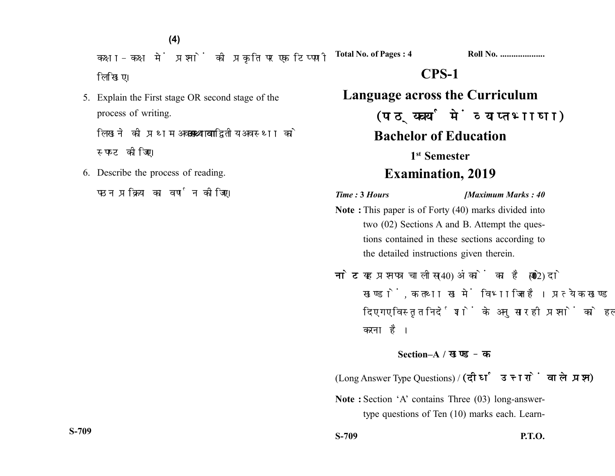**(4)**

कक्षा-कक्ष में प्रश्नों की प्रकृति पर एक टिप्पणी लिखिए।

5. Explain the First stage OR second stage of the process of writing.

लिखने को प्रथम अवस्था **अथवा** द्वितीय अवस्था को स्पष्ट कीजिए।

6. Describe the process of reading.

पठन प्रक्रिया का वर्णन कोजिए।

**Total No. of Pages : 4 Roll No. ....................**

## **CPS-1**

**Language across the Curriculum** (पाठ्यचर्या में व्याप्त भाषा) **Bachelor of Education 1st Semester Examination, 2019**

*Time :* **3** *Hours [Maximum Marks : 40*

- **Note :** This paper is of Forty (40) marks divided into two (02) Sections A and B. Attempt the questions contained in these sections according to the detailed instructions given therein.
- नोट: यह प्रश्नपत्र चालीस (40) अंकों का है जो दो (02) खण्डों, क तथा ख में विभाजित है। प्रत्येक खण्ड में दिए गए विस्तृत निर्देशों के अनुसार ही प्रश्नों को हल करना है।

## **Section–A /**

(Long Answer Type Questions) / (दीर्घ उत्तरों वाले प्रश्न)

**Note :** Section 'A' contains Three (03) long-answertype questions of Ten (10) marks each. Learn-